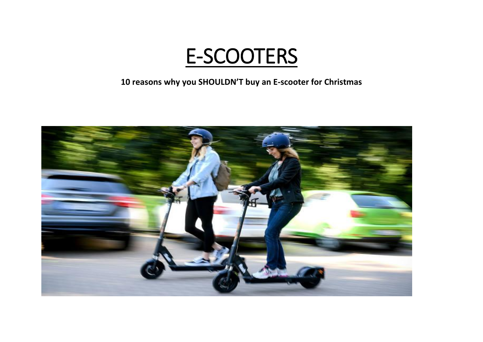

**10 reasons why you SHOULDN'T buy an E-scooter for Christmas**

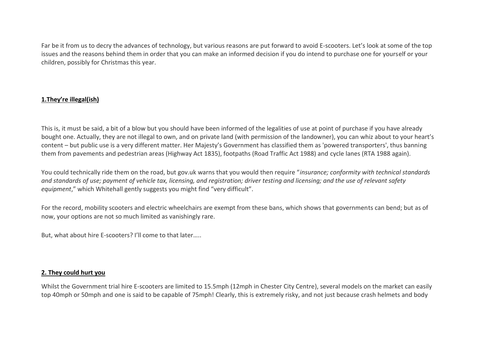Far be it from us to decry the advances of technology, but various reasons are put forward to avoid E-scooters. Let's look at some of the top issues and the reasons behind them in order that you can make an informed decision if you do intend to purchase one for yourself or your children, possibly for Christmas this year.

# **1.They're illegal(ish)**

This is, it must be said, a bit of a blow but you should have been informed of the legalities of use at point of purchase if you have already bought one. Actually, they are not illegal to own, and on private land (with permission of the landowner), you can whiz about to your heart's content – but public use is a very different matter. Her Majesty's Government has classified them as 'powered transporters', thus banning them from pavements and pedestrian areas (Highway Act 1835), footpaths (Road Traffic Act 1988) and cycle lanes (RTA 1988 again).

You could technically ride them on the road, but gov.uk warns that you would then require "*insurance; conformity with technical standards and standards of use; payment of vehicle tax, licensing, and registration; driver testing and licensing; and the use of relevant safety equipment*," which Whitehall gently suggests you might find "very difficult".

For the record, mobility scooters and electric wheelchairs are exempt from these bans, which shows that governments can bend; but as of now, your options are not so much limited as vanishingly rare.

But, what about hire E-scooters? I'll come to that later…..

# **2. They could hurt you**

Whilst the Government trial hire E-scooters are limited to 15.5mph (12mph in Chester City Centre), several models on the market can easily top 40mph or 50mph and one is said to be capable of 75mph! Clearly, this is extremely risky, and not just because crash helmets and body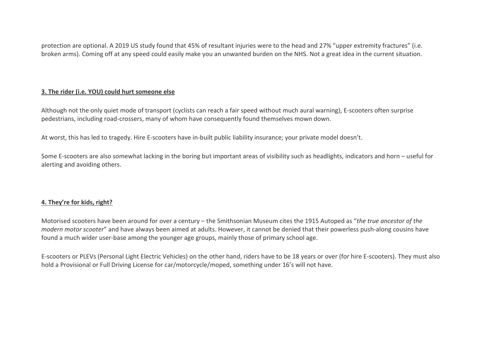protection are optional. A 2019 US study found that 45% of resultant injuries were to the head and 27% "upper extremity fractures" (i.e. broken arms). Coming off at any speed could easily make you an unwanted burden on the NHS. Not a great idea in the current situation.

# **3. The rider (i.e. YOU) could hurt someone else**

Although not the only quiet mode of transport (cyclists can reach a fair speed without much aural warning), E-scooters often surprise pedestrians, including road-crossers, many of whom have consequently found themselves mown down.

At worst, this has led to tragedy. Hire E-scooters have in-built public liability insurance; your private model doesn't.

Some E-scooters are also somewhat lacking in the boring but important areas of visibility such as headlights, indicators and horn – useful for alerting and avoiding others.

# **4. They're for kids, right?**

Motorised scooters have been around for over a century – the Smithsonian Museum cites the 1915 Autoped as "*the true ancestor of the modern motor scooter*" and have always been aimed at adults. However, it cannot be denied that their powerless push-along cousins have found a much wider user-base among the younger age groups, mainly those of primary school age.

E-scooters or PLEVs (Personal Light Electric Vehicles) on the other hand, riders have to be 18 years or over (for hire E-scooters). They must also hold a Provisional or Full Driving License for car/motorcycle/moped, something under 16's will not have.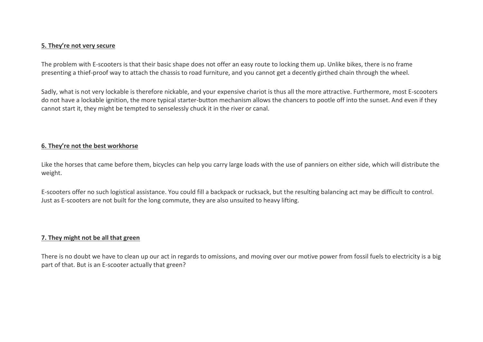#### **5. They're not very secure**

The problem with E-scooters is that their basic shape does not offer an easy route to locking them up. Unlike bikes, there is no frame presenting a thief-proof way to attach the chassis to road furniture, and you cannot get a decently girthed chain through the wheel.

Sadly, what is not very lockable is therefore nickable, and your expensive chariot is thus all the more attractive. Furthermore, most E-scooters do not have a lockable ignition, the more typical starter-button mechanism allows the chancers to pootle off into the sunset. And even if they cannot start it, they might be tempted to senselessly chuck it in the river or canal.

### **6. They're not the best workhorse**

Like the horses that came before them, bicycles can help you carry large loads with the use of panniers on either side, which will distribute the weight.

E-scooters offer no such logistical assistance. You could fill a backpack or rucksack, but the resulting balancing act may be difficult to control. Just as E-scooters are not built for the long commute, they are also unsuited to heavy lifting.

### **7. They might not be all that green**

There is no doubt we have to clean up our act in regards to omissions, and moving over our motive power from fossil fuels to electricity is a big part of that. But is an E-scooter actually that green?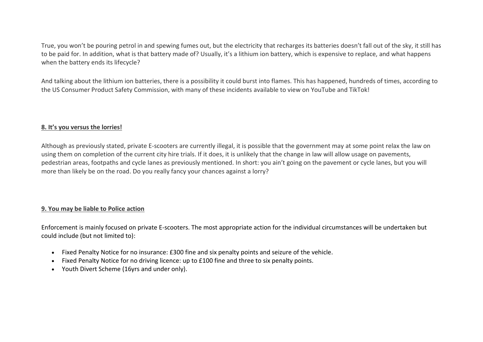True, you won't be pouring petrol in and spewing fumes out, but the electricity that recharges its batteries doesn't fall out of the sky, it still has to be paid for. In addition, what is that battery made of? Usually, it's a lithium ion battery, which is expensive to replace, and what happens when the battery ends its lifecycle?

And talking about the lithium ion batteries, there is a possibility it could burst into flames. This has happened, hundreds of times, according to the US Consumer Product Safety Commission, with many of these incidents available to view on YouTube and TikTok!

# **8. It's you versus the lorries!**

Although as previously stated, private E-scooters are currently illegal, it is possible that the government may at some point relax the law on using them on completion of the current city hire trials. If it does, it is unlikely that the change in law will allow usage on pavements, pedestrian areas, footpaths and cycle lanes as previously mentioned. In short: you ain't going on the pavement or cycle lanes, but you will more than likely be on the road. Do you really fancy your chances against a lorry?

# **9. You may be liable to Police action**

Enforcement is mainly focused on private E-scooters. The most appropriate action for the individual circumstances will be undertaken but could include (but not limited to):

- Fixed Penalty Notice for no insurance: £300 fine and six penalty points and seizure of the vehicle.
- Fixed Penalty Notice for no driving licence: up to £100 fine and three to six penalty points.
- Youth Divert Scheme (16yrs and under only).